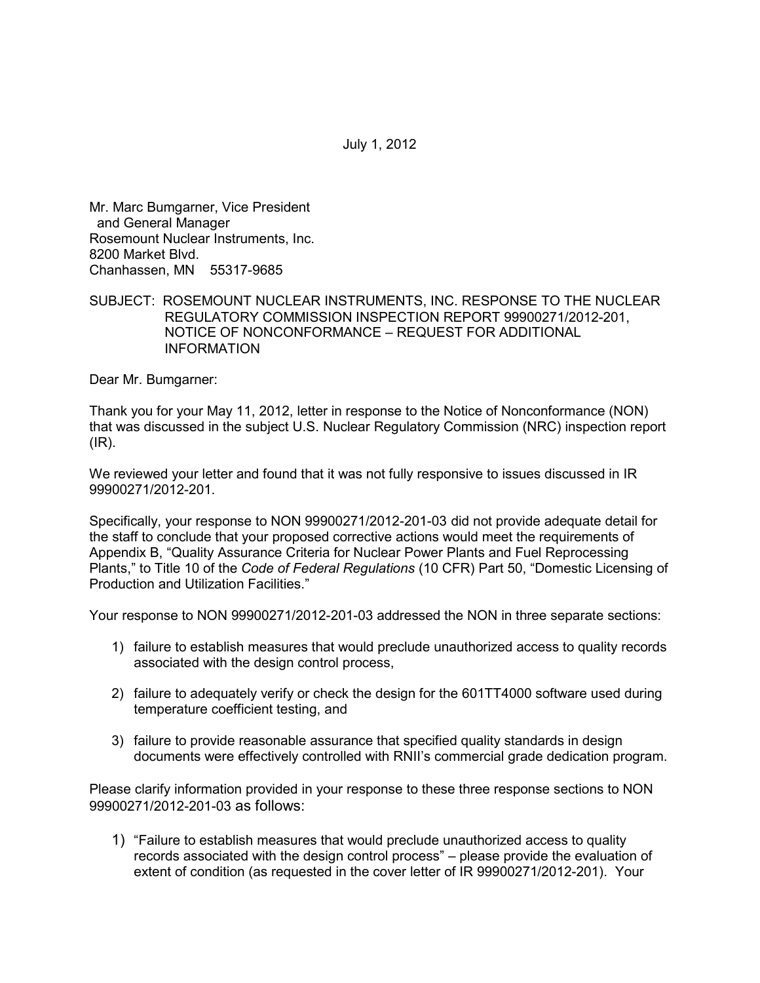July 1, 2012

Mr. Marc Bumgarner, Vice President and General Manager Rosemount Nuclear Instruments, Inc. 8200 Market Blvd. Chanhassen, MN 55317-9685

## SUBJECT: ROSEMOUNT NUCLEAR INSTRUMENTS, INC. RESPONSE TO THE NUCLEAR REGULATORY COMMISSION INSPECTION REPORT 99900271/2012-201, NOTICE OF NONCONFORMANCE – REQUEST FOR ADDITIONAL INFORMATION

Dear Mr. Bumgarner:

Thank you for your May 11, 2012, letter in response to the Notice of Nonconformance (NON) that was discussed in the subject U.S. Nuclear Regulatory Commission (NRC) inspection report (IR).

We reviewed your letter and found that it was not fully responsive to issues discussed in IR 99900271/2012-201.

Specifically, your response to NON 99900271/2012-201-03 did not provide adequate detail for the staff to conclude that your proposed corrective actions would meet the requirements of Appendix B, "Quality Assurance Criteria for Nuclear Power Plants and Fuel Reprocessing Plants," to Title 10 of the *Code of Federal Regulations* (10 CFR) Part 50, "Domestic Licensing of Production and Utilization Facilities."

Your response to NON 99900271/2012-201-03 addressed the NON in three separate sections:

- 1) failure to establish measures that would preclude unauthorized access to quality records associated with the design control process,
- 2) failure to adequately verify or check the design for the 601TT4000 software used during temperature coefficient testing, and
- 3) failure to provide reasonable assurance that specified quality standards in design documents were effectively controlled with RNII's commercial grade dedication program.

Please clarify information provided in your response to these three response sections to NON 99900271/2012-201-03 as follows:

1) "Failure to establish measures that would preclude unauthorized access to quality records associated with the design control process" – please provide the evaluation of extent of condition (as requested in the cover letter of IR 99900271/2012-201). Your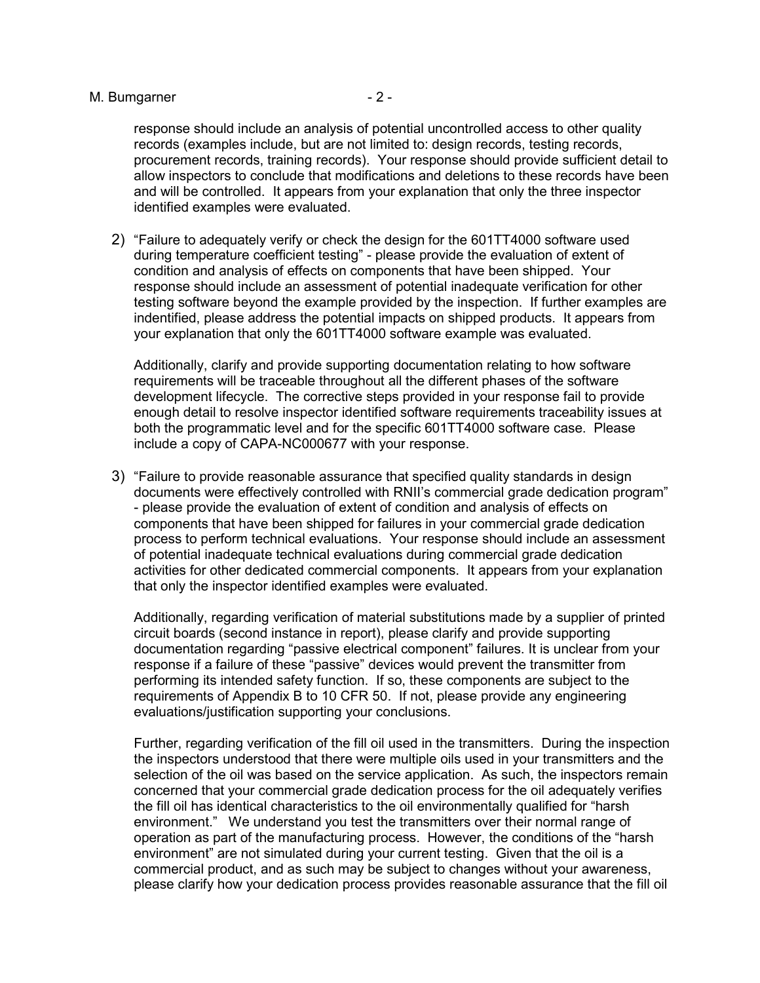# M. Bumgarner  $-2$  -

response should include an analysis of potential uncontrolled access to other quality records (examples include, but are not limited to: design records, testing records, procurement records, training records). Your response should provide sufficient detail to allow inspectors to conclude that modifications and deletions to these records have been and will be controlled. It appears from your explanation that only the three inspector identified examples were evaluated.

2) "Failure to adequately verify or check the design for the 601TT4000 software used during temperature coefficient testing" - please provide the evaluation of extent of condition and analysis of effects on components that have been shipped. Your response should include an assessment of potential inadequate verification for other testing software beyond the example provided by the inspection. If further examples are indentified, please address the potential impacts on shipped products. It appears from your explanation that only the 601TT4000 software example was evaluated.

Additionally, clarify and provide supporting documentation relating to how software requirements will be traceable throughout all the different phases of the software development lifecycle. The corrective steps provided in your response fail to provide enough detail to resolve inspector identified software requirements traceability issues at both the programmatic level and for the specific 601TT4000 software case. Please include a copy of CAPA-NC000677 with your response.

3) "Failure to provide reasonable assurance that specified quality standards in design documents were effectively controlled with RNII's commercial grade dedication program" - please provide the evaluation of extent of condition and analysis of effects on components that have been shipped for failures in your commercial grade dedication process to perform technical evaluations. Your response should include an assessment of potential inadequate technical evaluations during commercial grade dedication activities for other dedicated commercial components. It appears from your explanation that only the inspector identified examples were evaluated.

Additionally, regarding verification of material substitutions made by a supplier of printed circuit boards (second instance in report), please clarify and provide supporting documentation regarding "passive electrical component" failures. It is unclear from your response if a failure of these "passive" devices would prevent the transmitter from performing its intended safety function. If so, these components are subject to the requirements of Appendix B to 10 CFR 50. If not, please provide any engineering evaluations/justification supporting your conclusions.

Further, regarding verification of the fill oil used in the transmitters. During the inspection the inspectors understood that there were multiple oils used in your transmitters and the selection of the oil was based on the service application. As such, the inspectors remain concerned that your commercial grade dedication process for the oil adequately verifies the fill oil has identical characteristics to the oil environmentally qualified for "harsh environment." We understand you test the transmitters over their normal range of operation as part of the manufacturing process. However, the conditions of the "harsh environment" are not simulated during your current testing. Given that the oil is a commercial product, and as such may be subject to changes without your awareness, please clarify how your dedication process provides reasonable assurance that the fill oil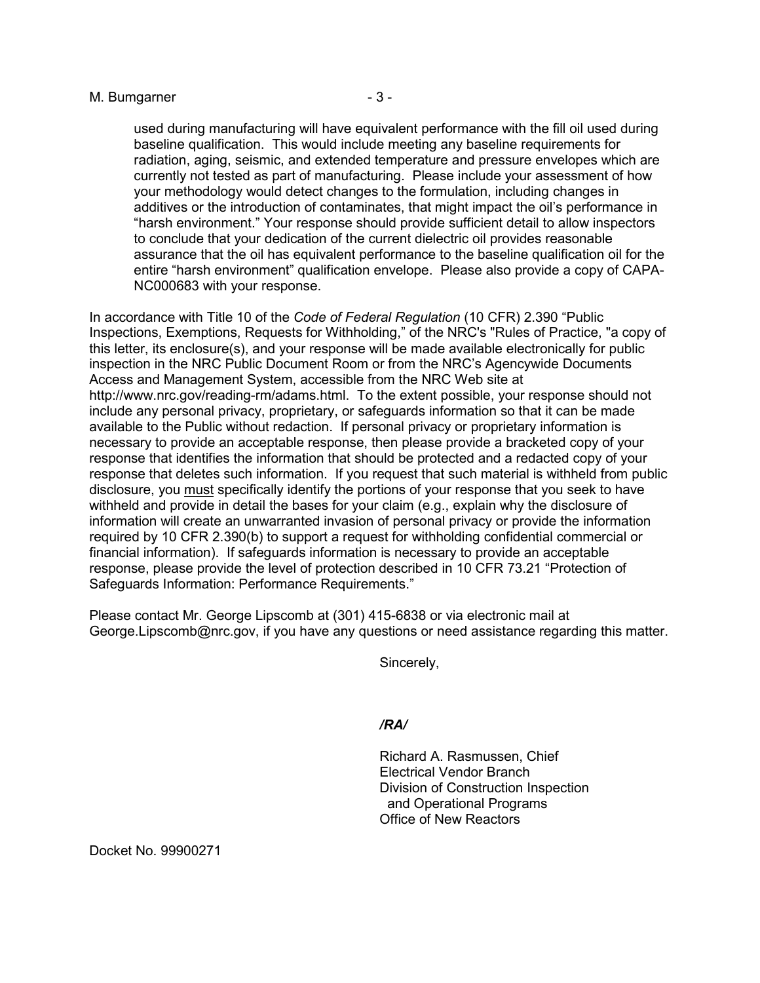#### M. Bumgarner - 3 -

used during manufacturing will have equivalent performance with the fill oil used during baseline qualification. This would include meeting any baseline requirements for radiation, aging, seismic, and extended temperature and pressure envelopes which are currently not tested as part of manufacturing. Please include your assessment of how your methodology would detect changes to the formulation, including changes in additives or the introduction of contaminates, that might impact the oil's performance in "harsh environment." Your response should provide sufficient detail to allow inspectors to conclude that your dedication of the current dielectric oil provides reasonable assurance that the oil has equivalent performance to the baseline qualification oil for the entire "harsh environment" qualification envelope. Please also provide a copy of CAPA-NC000683 with your response.

In accordance with Title 10 of the *Code of Federal Regulation* (10 CFR) 2.390 "Public Inspections, Exemptions, Requests for Withholding," of the NRC's "Rules of Practice, "a copy of this letter, its enclosure(s), and your response will be made available electronically for public inspection in the NRC Public Document Room or from the NRC's Agencywide Documents Access and Management System, accessible from the NRC Web site at http://www.nrc.gov/reading-rm/adams.html. To the extent possible, your response should not include any personal privacy, proprietary, or safeguards information so that it can be made available to the Public without redaction. If personal privacy or proprietary information is necessary to provide an acceptable response, then please provide a bracketed copy of your response that identifies the information that should be protected and a redacted copy of your response that deletes such information. If you request that such material is withheld from public disclosure, you must specifically identify the portions of your response that you seek to have withheld and provide in detail the bases for your claim (e.g., explain why the disclosure of information will create an unwarranted invasion of personal privacy or provide the information required by 10 CFR 2.390(b) to support a request for withholding confidential commercial or financial information). If safeguards information is necessary to provide an acceptable response, please provide the level of protection described in 10 CFR 73.21 "Protection of Safeguards Information: Performance Requirements."

Please contact Mr. George Lipscomb at (301) 415-6838 or via electronic mail at George.Lipscomb@nrc.gov, if you have any questions or need assistance regarding this matter.

Sincerely,

## */RA/*

Richard A. Rasmussen, Chief Electrical Vendor Branch Division of Construction Inspection and Operational Programs Office of New Reactors

Docket No. 99900271